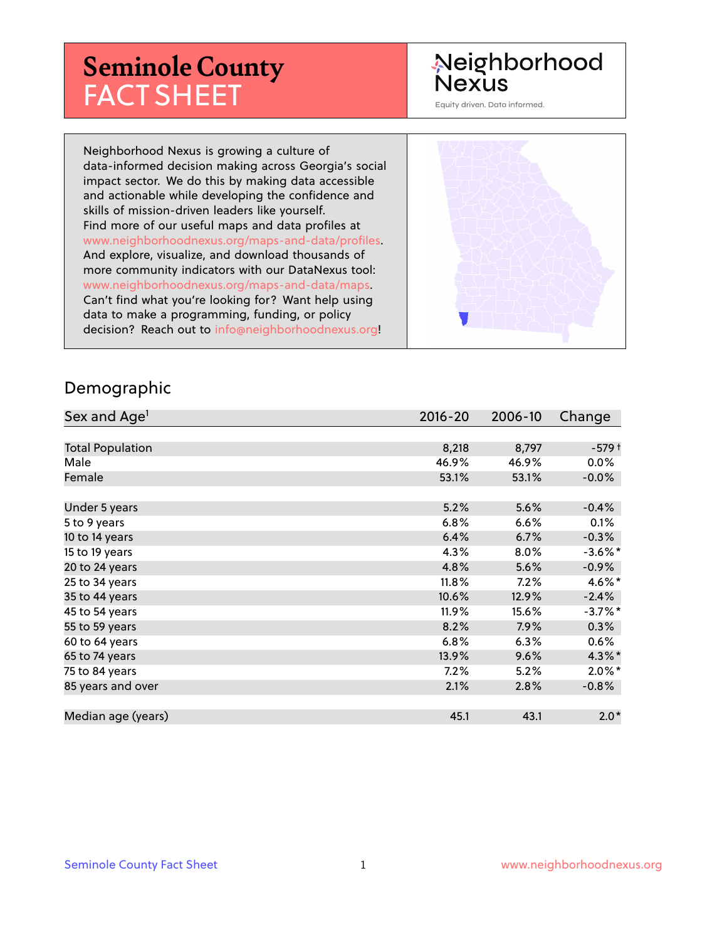# **Seminole County** FACT SHEET

# Neighborhood **Nexus**

Equity driven. Data informed.

Neighborhood Nexus is growing a culture of data-informed decision making across Georgia's social impact sector. We do this by making data accessible and actionable while developing the confidence and skills of mission-driven leaders like yourself. Find more of our useful maps and data profiles at www.neighborhoodnexus.org/maps-and-data/profiles. And explore, visualize, and download thousands of more community indicators with our DataNexus tool: www.neighborhoodnexus.org/maps-and-data/maps. Can't find what you're looking for? Want help using data to make a programming, funding, or policy decision? Reach out to [info@neighborhoodnexus.org!](mailto:info@neighborhoodnexus.org)



#### Demographic

| Sex and Age <sup>1</sup> | $2016 - 20$ | 2006-10 | Change     |
|--------------------------|-------------|---------|------------|
|                          |             |         |            |
| <b>Total Population</b>  | 8,218       | 8,797   | $-579+$    |
| Male                     | 46.9%       | 46.9%   | $0.0\%$    |
| Female                   | 53.1%       | 53.1%   | $-0.0\%$   |
|                          |             |         |            |
| Under 5 years            | 5.2%        | 5.6%    | $-0.4%$    |
| 5 to 9 years             | 6.8%        | 6.6%    | 0.1%       |
| 10 to 14 years           | 6.4%        | 6.7%    | $-0.3%$    |
| 15 to 19 years           | 4.3%        | 8.0%    | $-3.6\%$ * |
| 20 to 24 years           | 4.8%        | 5.6%    | $-0.9\%$   |
| 25 to 34 years           | 11.8%       | 7.2%    | 4.6%*      |
| 35 to 44 years           | 10.6%       | 12.9%   | $-2.4%$    |
| 45 to 54 years           | 11.9%       | 15.6%   | $-3.7%$ *  |
| 55 to 59 years           | 8.2%        | 7.9%    | 0.3%       |
| 60 to 64 years           | 6.8%        | 6.3%    | 0.6%       |
| 65 to 74 years           | 13.9%       | 9.6%    | $4.3\%$ *  |
| 75 to 84 years           | 7.2%        | 5.2%    | $2.0\%$ *  |
| 85 years and over        | 2.1%        | 2.8%    | $-0.8%$    |
|                          |             |         |            |
| Median age (years)       | 45.1        | 43.1    | $2.0*$     |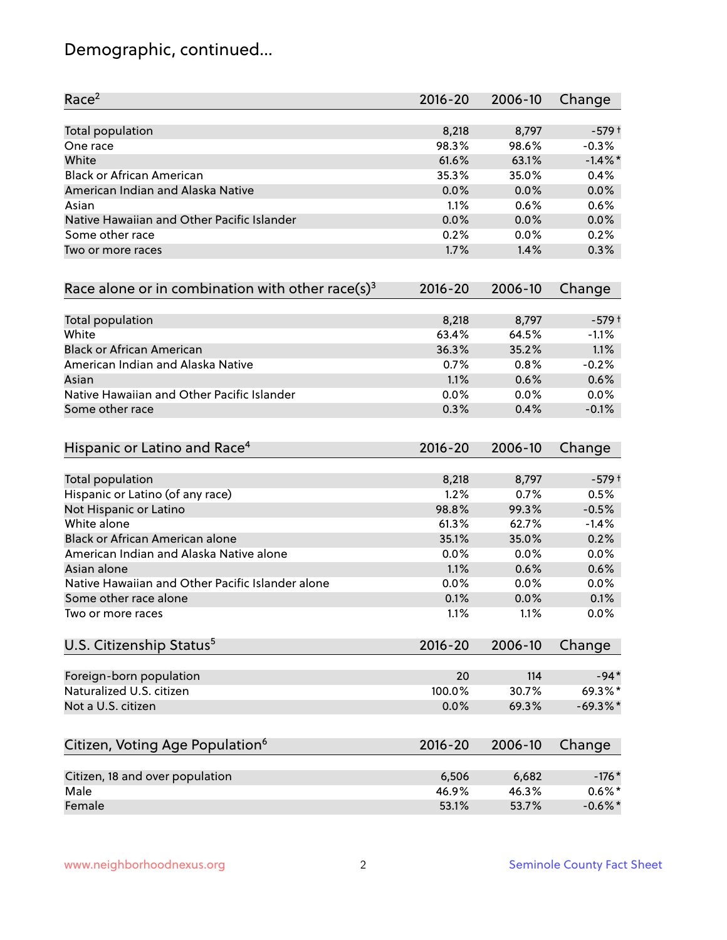# Demographic, continued...

| Race <sup>2</sup>                                            | $2016 - 20$ | 2006-10 | Change     |
|--------------------------------------------------------------|-------------|---------|------------|
| <b>Total population</b>                                      | 8,218       | 8,797   | $-579+$    |
| One race                                                     | 98.3%       | 98.6%   | $-0.3%$    |
| White                                                        | 61.6%       | 63.1%   | $-1.4\%$ * |
| <b>Black or African American</b>                             | 35.3%       | 35.0%   | 0.4%       |
| American Indian and Alaska Native                            | 0.0%        | 0.0%    | 0.0%       |
| Asian                                                        | 1.1%        | 0.6%    | 0.6%       |
| Native Hawaiian and Other Pacific Islander                   | 0.0%        | 0.0%    | 0.0%       |
| Some other race                                              | 0.2%        | 0.0%    | 0.2%       |
| Two or more races                                            | 1.7%        | 1.4%    | 0.3%       |
| Race alone or in combination with other race(s) <sup>3</sup> | $2016 - 20$ | 2006-10 | Change     |
| Total population                                             | 8,218       | 8,797   | $-579+$    |
| White                                                        | 63.4%       | 64.5%   | $-1.1%$    |
| <b>Black or African American</b>                             | 36.3%       | 35.2%   | 1.1%       |
| American Indian and Alaska Native                            | 0.7%        | 0.8%    | $-0.2%$    |
| Asian                                                        | 1.1%        | 0.6%    | 0.6%       |
| Native Hawaiian and Other Pacific Islander                   | 0.0%        | 0.0%    | 0.0%       |
| Some other race                                              | 0.3%        | 0.4%    | $-0.1%$    |
| Hispanic or Latino and Race <sup>4</sup>                     | $2016 - 20$ | 2006-10 | Change     |
| <b>Total population</b>                                      | 8,218       | 8,797   | $-579+$    |
| Hispanic or Latino (of any race)                             | 1.2%        | 0.7%    | 0.5%       |
| Not Hispanic or Latino                                       | 98.8%       | 99.3%   | $-0.5%$    |
| White alone                                                  | 61.3%       | 62.7%   | $-1.4%$    |
| Black or African American alone                              | 35.1%       | 35.0%   | 0.2%       |
| American Indian and Alaska Native alone                      | 0.0%        | 0.0%    | 0.0%       |
| Asian alone                                                  | 1.1%        | 0.6%    | 0.6%       |
| Native Hawaiian and Other Pacific Islander alone             | 0.0%        | 0.0%    | 0.0%       |
| Some other race alone                                        | 0.1%        | 0.0%    | 0.1%       |
| Two or more races                                            | 1.1%        | 1.1%    | 0.0%       |
| U.S. Citizenship Status <sup>5</sup>                         | $2016 - 20$ | 2006-10 | Change     |
| Foreign-born population                                      | 20          | 114     | $-94*$     |
| Naturalized U.S. citizen                                     | 100.0%      | 30.7%   | 69.3%*     |
| Not a U.S. citizen                                           | 0.0%        | 69.3%   | $-69.3%$ * |
|                                                              |             |         |            |
| Citizen, Voting Age Population <sup>6</sup>                  | $2016 - 20$ | 2006-10 | Change     |
| Citizen, 18 and over population                              | 6,506       | 6,682   | $-176*$    |
| Male                                                         | 46.9%       | 46.3%   | $0.6\%$ *  |
| Female                                                       | 53.1%       | 53.7%   | $-0.6%$ *  |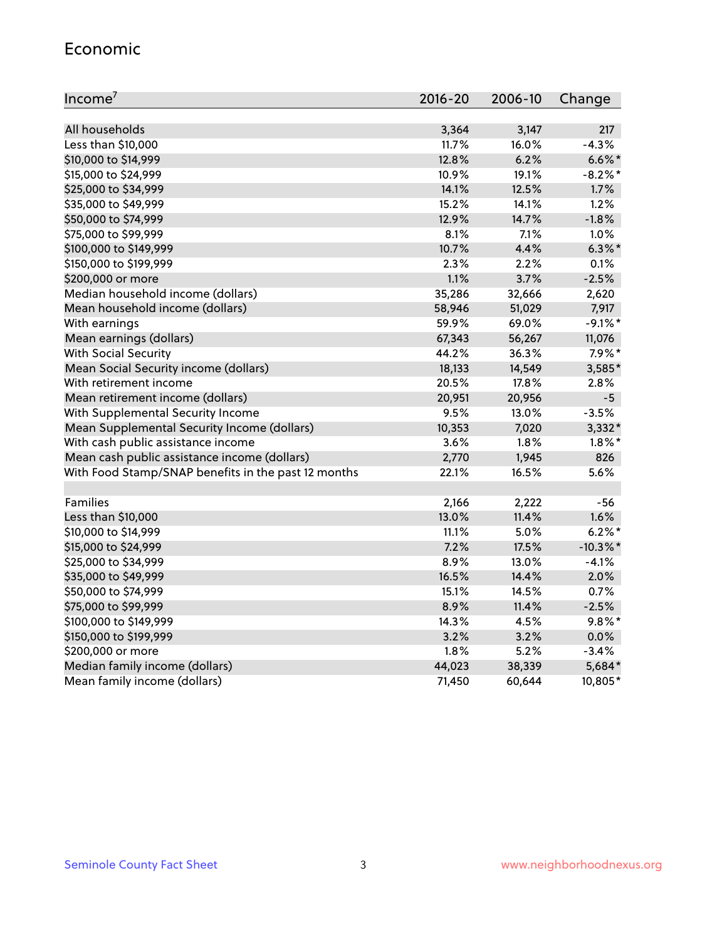#### Economic

| Income <sup>7</sup>                                 | $2016 - 20$ | 2006-10 | Change      |
|-----------------------------------------------------|-------------|---------|-------------|
|                                                     |             |         |             |
| All households                                      | 3,364       | 3,147   | 217         |
| Less than \$10,000                                  | 11.7%       | 16.0%   | $-4.3%$     |
| \$10,000 to \$14,999                                | 12.8%       | 6.2%    | $6.6\%$ *   |
| \$15,000 to \$24,999                                | 10.9%       | 19.1%   | $-8.2\%$ *  |
| \$25,000 to \$34,999                                | 14.1%       | 12.5%   | 1.7%        |
| \$35,000 to \$49,999                                | 15.2%       | 14.1%   | 1.2%        |
| \$50,000 to \$74,999                                | 12.9%       | 14.7%   | $-1.8%$     |
| \$75,000 to \$99,999                                | 8.1%        | 7.1%    | 1.0%        |
| \$100,000 to \$149,999                              | 10.7%       | 4.4%    | $6.3\%$ *   |
| \$150,000 to \$199,999                              | 2.3%        | 2.2%    | 0.1%        |
| \$200,000 or more                                   | 1.1%        | 3.7%    | $-2.5%$     |
| Median household income (dollars)                   | 35,286      | 32,666  | 2,620       |
| Mean household income (dollars)                     | 58,946      | 51,029  | 7,917       |
| With earnings                                       | 59.9%       | 69.0%   | $-9.1\%$ *  |
| Mean earnings (dollars)                             | 67,343      | 56,267  | 11,076      |
| <b>With Social Security</b>                         | 44.2%       | 36.3%   | $7.9\%$ *   |
| Mean Social Security income (dollars)               | 18,133      | 14,549  | 3,585*      |
| With retirement income                              | 20.5%       | 17.8%   | 2.8%        |
| Mean retirement income (dollars)                    | 20,951      | 20,956  | $-5$        |
| With Supplemental Security Income                   | 9.5%        | 13.0%   | $-3.5%$     |
| Mean Supplemental Security Income (dollars)         | 10,353      | 7,020   | $3,332*$    |
| With cash public assistance income                  | 3.6%        | $1.8\%$ | $1.8\%$ *   |
| Mean cash public assistance income (dollars)        | 2,770       | 1,945   | 826         |
| With Food Stamp/SNAP benefits in the past 12 months | 22.1%       | 16.5%   | 5.6%        |
|                                                     |             |         |             |
| Families                                            | 2,166       | 2,222   | $-56$       |
| Less than \$10,000                                  | 13.0%       | 11.4%   | 1.6%        |
| \$10,000 to \$14,999                                | 11.1%       | 5.0%    | $6.2%$ *    |
| \$15,000 to \$24,999                                | 7.2%        | 17.5%   | $-10.3\%$ * |
| \$25,000 to \$34,999                                | 8.9%        | 13.0%   | $-4.1%$     |
| \$35,000 to \$49,999                                | 16.5%       | 14.4%   | 2.0%        |
| \$50,000 to \$74,999                                | 15.1%       | 14.5%   | 0.7%        |
| \$75,000 to \$99,999                                | 8.9%        | 11.4%   | $-2.5%$     |
| \$100,000 to \$149,999                              | 14.3%       | 4.5%    | $9.8\%$ *   |
| \$150,000 to \$199,999                              | 3.2%        | 3.2%    | 0.0%        |
| \$200,000 or more                                   | 1.8%        | 5.2%    | $-3.4%$     |
| Median family income (dollars)                      | 44,023      | 38,339  | 5,684*      |
| Mean family income (dollars)                        | 71,450      | 60,644  | 10,805*     |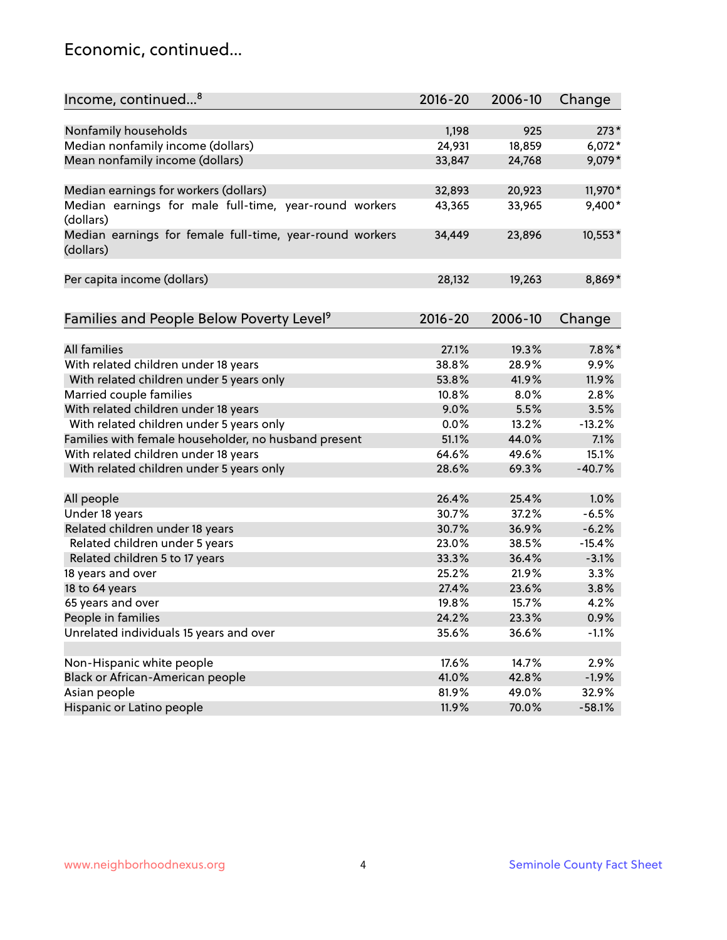### Economic, continued...

| Income, continued <sup>8</sup>                                        | $2016 - 20$ | 2006-10 | Change    |
|-----------------------------------------------------------------------|-------------|---------|-----------|
|                                                                       |             |         |           |
| Nonfamily households                                                  | 1,198       | 925     | $273*$    |
| Median nonfamily income (dollars)                                     | 24,931      | 18,859  | $6,072*$  |
| Mean nonfamily income (dollars)                                       | 33,847      | 24,768  | 9,079*    |
| Median earnings for workers (dollars)                                 | 32,893      | 20,923  | 11,970*   |
| Median earnings for male full-time, year-round workers                | 43,365      | 33,965  | 9,400*    |
| (dollars)                                                             |             |         |           |
| Median earnings for female full-time, year-round workers<br>(dollars) | 34,449      | 23,896  | 10,553*   |
| Per capita income (dollars)                                           | 28,132      | 19,263  | 8,869*    |
|                                                                       |             |         |           |
| Families and People Below Poverty Level <sup>9</sup>                  | $2016 - 20$ | 2006-10 | Change    |
| <b>All families</b>                                                   |             |         | $7.8\%$ * |
|                                                                       | 27.1%       | 19.3%   |           |
| With related children under 18 years                                  | 38.8%       | 28.9%   | 9.9%      |
| With related children under 5 years only                              | 53.8%       | 41.9%   | 11.9%     |
| Married couple families                                               | 10.8%       | 8.0%    | 2.8%      |
| With related children under 18 years                                  | 9.0%        | 5.5%    | 3.5%      |
| With related children under 5 years only                              | 0.0%        | 13.2%   | $-13.2%$  |
| Families with female householder, no husband present                  | 51.1%       | 44.0%   | 7.1%      |
| With related children under 18 years                                  | 64.6%       | 49.6%   | 15.1%     |
| With related children under 5 years only                              | 28.6%       | 69.3%   | $-40.7%$  |
| All people                                                            | 26.4%       | 25.4%   | 1.0%      |
| Under 18 years                                                        | 30.7%       | 37.2%   | $-6.5%$   |
| Related children under 18 years                                       | 30.7%       | 36.9%   | $-6.2%$   |
| Related children under 5 years                                        | 23.0%       | 38.5%   | $-15.4%$  |
| Related children 5 to 17 years                                        | 33.3%       | 36.4%   | $-3.1%$   |
| 18 years and over                                                     | 25.2%       | 21.9%   | 3.3%      |
| 18 to 64 years                                                        | 27.4%       | 23.6%   | 3.8%      |
| 65 years and over                                                     | 19.8%       | 15.7%   | 4.2%      |
| People in families                                                    | 24.2%       | 23.3%   | 0.9%      |
| Unrelated individuals 15 years and over                               | 35.6%       | 36.6%   | $-1.1%$   |
|                                                                       |             |         |           |
| Non-Hispanic white people                                             | 17.6%       | 14.7%   | 2.9%      |
| Black or African-American people                                      | 41.0%       | 42.8%   | $-1.9%$   |
| Asian people                                                          | 81.9%       | 49.0%   | 32.9%     |
| Hispanic or Latino people                                             | 11.9%       | 70.0%   | $-58.1%$  |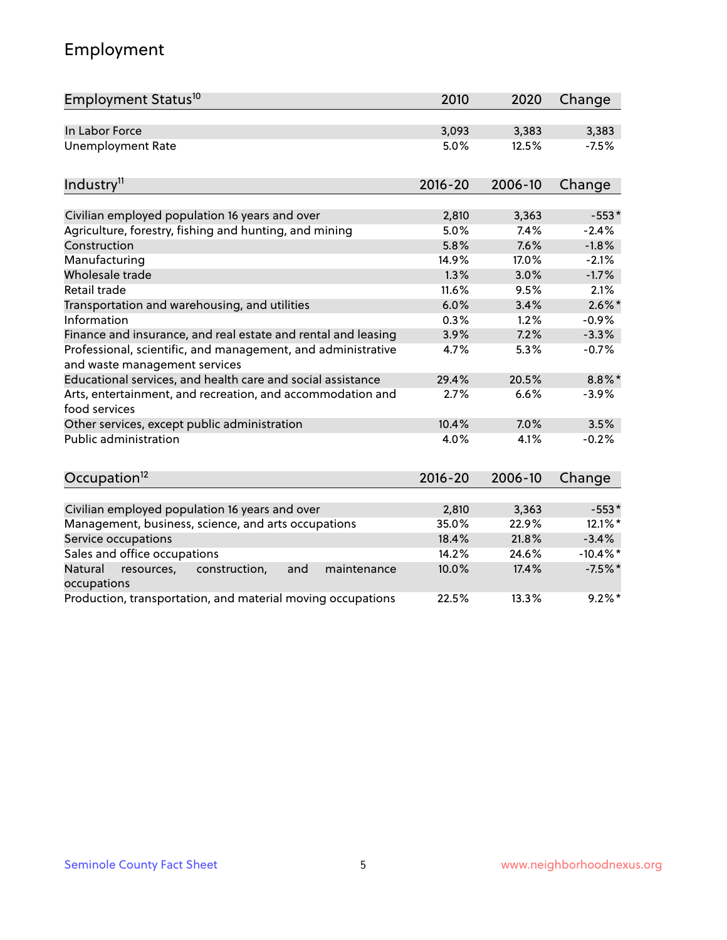# Employment

| Employment Status <sup>10</sup>                                                               | 2010        | 2020    | Change      |
|-----------------------------------------------------------------------------------------------|-------------|---------|-------------|
| In Labor Force                                                                                | 3,093       | 3,383   | 3,383       |
| <b>Unemployment Rate</b>                                                                      | 5.0%        | 12.5%   | $-7.5%$     |
| Industry <sup>11</sup>                                                                        | $2016 - 20$ | 2006-10 | Change      |
|                                                                                               |             |         |             |
| Civilian employed population 16 years and over                                                | 2,810       | 3,363   | $-553*$     |
| Agriculture, forestry, fishing and hunting, and mining                                        | 5.0%        | 7.4%    | $-2.4%$     |
| Construction                                                                                  | 5.8%        | 7.6%    | $-1.8%$     |
| Manufacturing                                                                                 | 14.9%       | 17.0%   | $-2.1%$     |
| Wholesale trade                                                                               | 1.3%        | 3.0%    | $-1.7%$     |
| Retail trade                                                                                  | 11.6%       | 9.5%    | 2.1%        |
| Transportation and warehousing, and utilities                                                 | 6.0%        | 3.4%    | $2.6\%$ *   |
| Information                                                                                   | 0.3%        | 1.2%    | $-0.9%$     |
| Finance and insurance, and real estate and rental and leasing                                 | 3.9%        | 7.2%    | $-3.3%$     |
| Professional, scientific, and management, and administrative<br>and waste management services | 4.7%        | 5.3%    | $-0.7%$     |
| Educational services, and health care and social assistance                                   | 29.4%       | 20.5%   | $8.8\%$ *   |
| Arts, entertainment, and recreation, and accommodation and<br>food services                   | 2.7%        | 6.6%    | $-3.9%$     |
| Other services, except public administration                                                  | 10.4%       | 7.0%    | 3.5%        |
| Public administration                                                                         | 4.0%        | 4.1%    | $-0.2%$     |
| Occupation <sup>12</sup>                                                                      | $2016 - 20$ | 2006-10 | Change      |
|                                                                                               |             |         |             |
| Civilian employed population 16 years and over                                                | 2,810       | 3,363   | $-553*$     |
| Management, business, science, and arts occupations                                           | 35.0%       | 22.9%   | 12.1%*      |
| Service occupations                                                                           | 18.4%       | 21.8%   | $-3.4%$     |
| Sales and office occupations                                                                  | 14.2%       | 24.6%   | $-10.4\%$ * |
| Natural<br>construction,<br>maintenance<br>resources,<br>and<br>occupations                   | 10.0%       | 17.4%   | $-7.5%$ *   |
| Production, transportation, and material moving occupations                                   | 22.5%       | 13.3%   | $9.2%$ *    |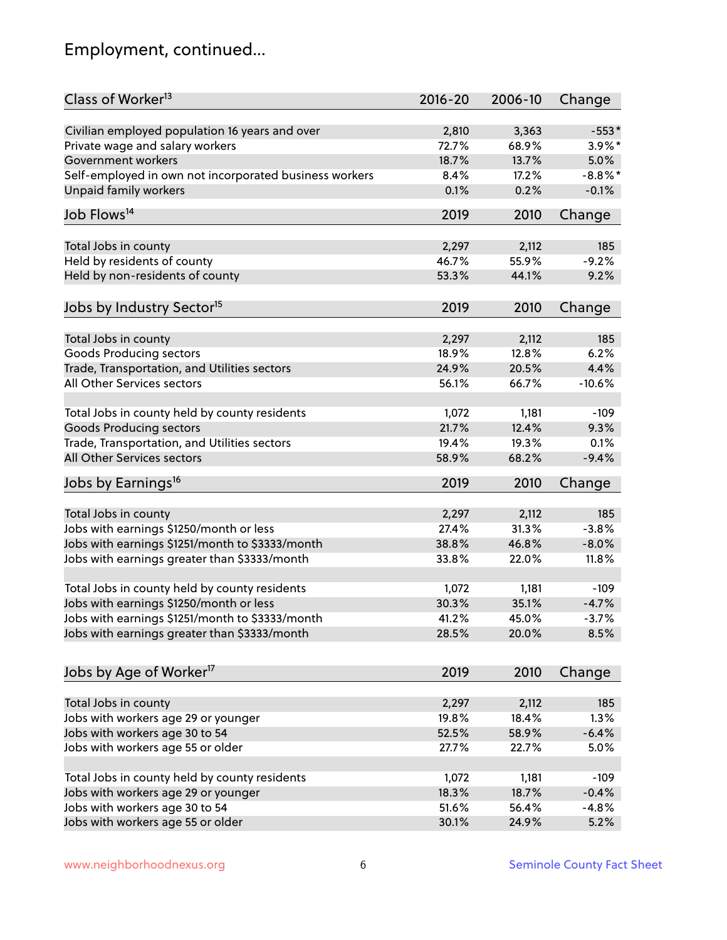# Employment, continued...

| Class of Worker <sup>13</sup>                          | $2016 - 20$ | 2006-10 | Change     |
|--------------------------------------------------------|-------------|---------|------------|
| Civilian employed population 16 years and over         | 2,810       | 3,363   | $-553*$    |
| Private wage and salary workers                        | 72.7%       | 68.9%   | 3.9%*      |
| Government workers                                     | 18.7%       | 13.7%   | 5.0%       |
| Self-employed in own not incorporated business workers | 8.4%        | 17.2%   | $-8.8\%$ * |
| <b>Unpaid family workers</b>                           | 0.1%        | 0.2%    | $-0.1%$    |
| Job Flows <sup>14</sup>                                | 2019        | 2010    | Change     |
| Total Jobs in county                                   | 2,297       | 2,112   | 185        |
| Held by residents of county                            | 46.7%       | 55.9%   | $-9.2%$    |
|                                                        | 53.3%       | 44.1%   |            |
| Held by non-residents of county                        |             |         | 9.2%       |
| Jobs by Industry Sector <sup>15</sup>                  | 2019        | 2010    | Change     |
| Total Jobs in county                                   | 2,297       | 2,112   | 185        |
| <b>Goods Producing sectors</b>                         | 18.9%       | 12.8%   | 6.2%       |
| Trade, Transportation, and Utilities sectors           | 24.9%       | 20.5%   | 4.4%       |
| All Other Services sectors                             | 56.1%       | 66.7%   | $-10.6%$   |
|                                                        |             |         |            |
| Total Jobs in county held by county residents          | 1,072       | 1,181   | $-109$     |
| <b>Goods Producing sectors</b>                         | 21.7%       | 12.4%   | 9.3%       |
| Trade, Transportation, and Utilities sectors           | 19.4%       | 19.3%   | 0.1%       |
| All Other Services sectors                             | 58.9%       | 68.2%   | $-9.4%$    |
| Jobs by Earnings <sup>16</sup>                         | 2019        | 2010    | Change     |
| Total Jobs in county                                   | 2,297       | 2,112   | 185        |
| Jobs with earnings \$1250/month or less                | 27.4%       | 31.3%   | $-3.8%$    |
| Jobs with earnings \$1251/month to \$3333/month        | 38.8%       | 46.8%   | $-8.0%$    |
|                                                        | 33.8%       | 22.0%   | 11.8%      |
| Jobs with earnings greater than \$3333/month           |             |         |            |
| Total Jobs in county held by county residents          | 1,072       | 1,181   | $-109$     |
| Jobs with earnings \$1250/month or less                | 30.3%       | 35.1%   | $-4.7%$    |
| Jobs with earnings \$1251/month to \$3333/month        | 41.2%       | 45.0%   | $-3.7%$    |
| Jobs with earnings greater than \$3333/month           | 28.5%       | 20.0%   | 8.5%       |
| Jobs by Age of Worker <sup>17</sup>                    | 2019        | 2010    | Change     |
|                                                        |             |         |            |
| Total Jobs in county                                   | 2,297       | 2,112   | 185        |
| Jobs with workers age 29 or younger                    | 19.8%       | 18.4%   | 1.3%       |
| Jobs with workers age 30 to 54                         | 52.5%       | 58.9%   | $-6.4%$    |
| Jobs with workers age 55 or older                      | 27.7%       | 22.7%   | 5.0%       |
|                                                        |             |         |            |
| Total Jobs in county held by county residents          | 1,072       | 1,181   | $-109$     |
| Jobs with workers age 29 or younger                    | 18.3%       | 18.7%   | $-0.4%$    |
| Jobs with workers age 30 to 54                         | 51.6%       | 56.4%   | $-4.8%$    |
| Jobs with workers age 55 or older                      | 30.1%       | 24.9%   | 5.2%       |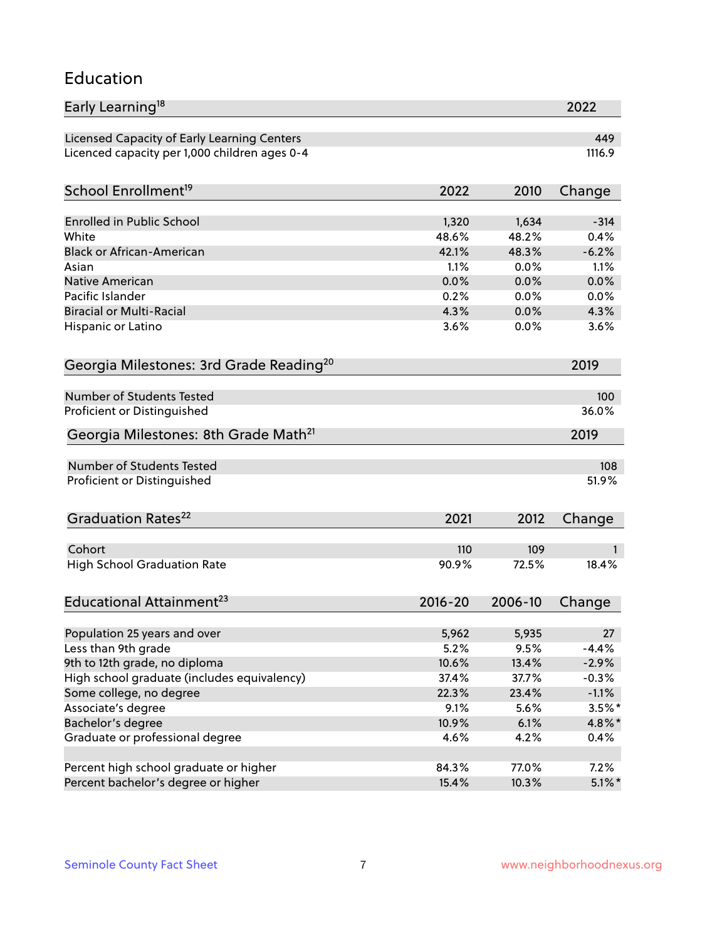#### Education

| Early Learning <sup>18</sup>                        |              |                | 2022         |
|-----------------------------------------------------|--------------|----------------|--------------|
| Licensed Capacity of Early Learning Centers         |              |                | 449          |
| Licenced capacity per 1,000 children ages 0-4       |              |                | 1116.9       |
| School Enrollment <sup>19</sup>                     | 2022         | 2010           | Change       |
|                                                     |              |                |              |
| <b>Enrolled in Public School</b>                    | 1,320        | 1,634          | $-314$       |
| White                                               | 48.6%        | 48.2%<br>48.3% | 0.4%         |
| <b>Black or African-American</b>                    | 42.1%        |                | $-6.2%$      |
| Asian                                               | 1.1%         | 0.0%           | 1.1%         |
| <b>Native American</b><br>Pacific Islander          | 0.0%         | 0.0%           | 0.0%         |
| <b>Biracial or Multi-Racial</b>                     | 0.2%<br>4.3% | 0.0%<br>0.0%   | 0.0%<br>4.3% |
|                                                     |              |                |              |
| Hispanic or Latino                                  | 3.6%         | 0.0%           | 3.6%         |
| Georgia Milestones: 3rd Grade Reading <sup>20</sup> |              |                | 2019         |
| Number of Students Tested                           |              |                | 100          |
|                                                     |              |                |              |
| Proficient or Distinguished                         |              |                | 36.0%        |
| Georgia Milestones: 8th Grade Math <sup>21</sup>    |              |                | 2019         |
| <b>Number of Students Tested</b>                    |              |                | 108          |
| Proficient or Distinguished                         |              |                | 51.9%        |
| Graduation Rates <sup>22</sup>                      | 2021         | 2012           | Change       |
|                                                     |              |                |              |
| Cohort                                              | 110          | 109            | 1            |
| <b>High School Graduation Rate</b>                  | 90.9%        | 72.5%          | 18.4%        |
| Educational Attainment <sup>23</sup>                | $2016 - 20$  | 2006-10        | Change       |
| Population 25 years and over                        | 5,962        | 5,935          | 27           |
| Less than 9th grade                                 | 5.2%         | 9.5%           | $-4.4%$      |
| 9th to 12th grade, no diploma                       | 10.6%        | 13.4%          | $-2.9%$      |
| High school graduate (includes equivalency)         | 37.4%        | 37.7%          | $-0.3%$      |
| Some college, no degree                             | 22.3%        | 23.4%          | $-1.1%$      |
| Associate's degree                                  | 9.1%         | 5.6%           | $3.5\%$ *    |
| Bachelor's degree                                   | 10.9%        | 6.1%           | $4.8\%$ *    |
|                                                     |              |                |              |
| Graduate or professional degree                     | 4.6%         | 4.2%           | 0.4%         |
| Percent high school graduate or higher              | 84.3%        | 77.0%          | 7.2%         |
| Percent bachelor's degree or higher                 | 15.4%        | 10.3%          | $5.1\%$ *    |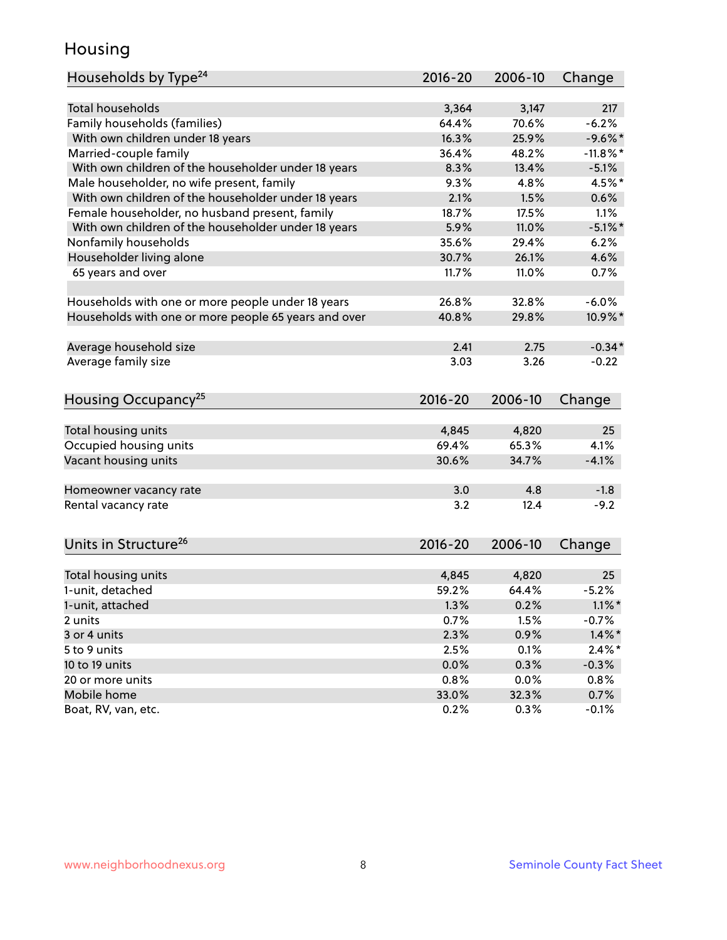### Housing

| Households by Type <sup>24</sup>                     | $2016 - 20$ | 2006-10 | Change      |
|------------------------------------------------------|-------------|---------|-------------|
|                                                      |             |         |             |
| <b>Total households</b>                              | 3,364       | 3,147   | 217         |
| Family households (families)                         | 64.4%       | 70.6%   | $-6.2%$     |
| With own children under 18 years                     | 16.3%       | 25.9%   | $-9.6%$ *   |
| Married-couple family                                | 36.4%       | 48.2%   | $-11.8\%$ * |
| With own children of the householder under 18 years  | 8.3%        | 13.4%   | $-5.1%$     |
| Male householder, no wife present, family            | 9.3%        | 4.8%    | 4.5%*       |
| With own children of the householder under 18 years  | 2.1%        | 1.5%    | 0.6%        |
| Female householder, no husband present, family       | 18.7%       | 17.5%   | 1.1%        |
| With own children of the householder under 18 years  | 5.9%        | 11.0%   | $-5.1\%$ *  |
| Nonfamily households                                 | 35.6%       | 29.4%   | 6.2%        |
| Householder living alone                             | 30.7%       | 26.1%   | 4.6%        |
| 65 years and over                                    | 11.7%       | 11.0%   | 0.7%        |
|                                                      |             |         |             |
| Households with one or more people under 18 years    | 26.8%       | 32.8%   | $-6.0%$     |
| Households with one or more people 65 years and over | 40.8%       | 29.8%   | 10.9%*      |
| Average household size                               | 2.41        | 2.75    | $-0.34*$    |
| Average family size                                  | 3.03        | 3.26    | $-0.22$     |
| Housing Occupancy <sup>25</sup>                      | $2016 - 20$ | 2006-10 | Change      |
|                                                      |             |         |             |
| Total housing units                                  | 4,845       | 4,820   | 25          |
| Occupied housing units                               | 69.4%       | 65.3%   | 4.1%        |
| Vacant housing units                                 | 30.6%       | 34.7%   | $-4.1%$     |
|                                                      |             |         |             |
| Homeowner vacancy rate                               | 3.0         | 4.8     | $-1.8$      |
| Rental vacancy rate                                  | 3.2         | 12.4    | $-9.2$      |
|                                                      |             |         |             |
| Units in Structure <sup>26</sup>                     | $2016 - 20$ | 2006-10 | Change      |
| Total housing units                                  | 4,845       | 4,820   | 25          |
| 1-unit, detached                                     | 59.2%       | 64.4%   | $-5.2%$     |
| 1-unit, attached                                     | 1.3%        | 0.2%    | $1.1\%$ *   |
| 2 units                                              | 0.7%        | 1.5%    | $-0.7%$     |
| 3 or 4 units                                         | 2.3%        | 0.9%    | $1.4\%$ *   |
| 5 to 9 units                                         | 2.5%        | 0.1%    | $2.4\%$ *   |
| 10 to 19 units                                       | 0.0%        | 0.3%    | $-0.3%$     |
|                                                      |             |         |             |
| 20 or more units<br>Mobile home                      | 0.8%        | 0.0%    | 0.8%        |
| Boat, RV, van, etc.                                  | 33.0%       | 32.3%   | 0.7%        |
|                                                      | 0.2%        | 0.3%    | $-0.1%$     |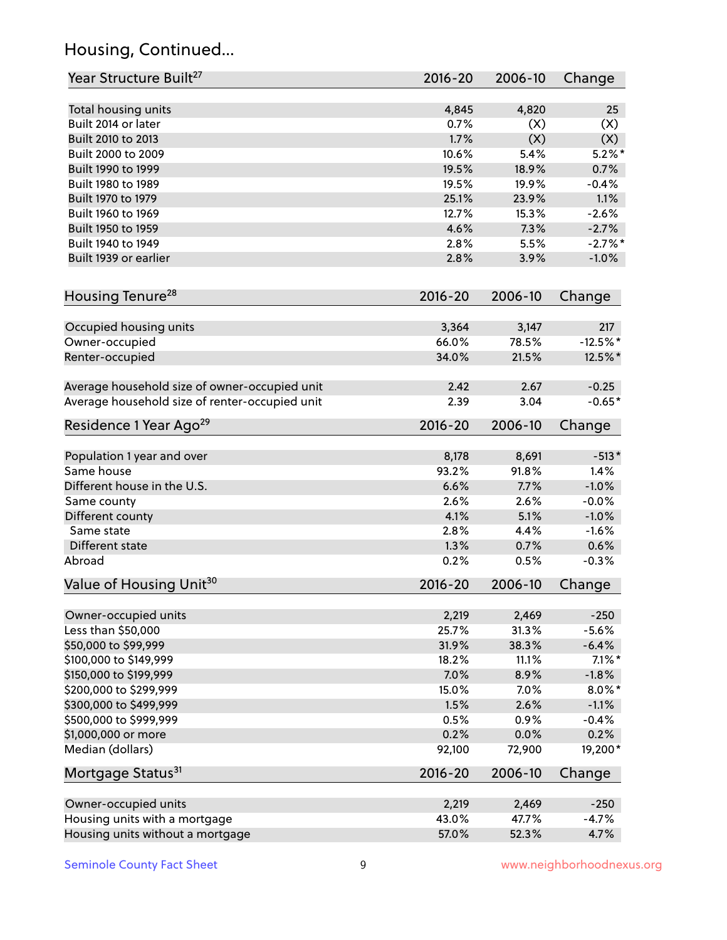# Housing, Continued...

| Year Structure Built <sup>27</sup>             | 2016-20     | 2006-10        | Change     |
|------------------------------------------------|-------------|----------------|------------|
|                                                | 4,845       | 4,820          | 25         |
| Total housing units<br>Built 2014 or later     | 0.7%        | (X)            | (X)        |
| Built 2010 to 2013                             | 1.7%        | (X)            | (X)        |
| Built 2000 to 2009                             | 10.6%       | 5.4%           | $5.2\%$ *  |
| Built 1990 to 1999                             | 19.5%       | 18.9%          | 0.7%       |
| Built 1980 to 1989                             | 19.5%       | 19.9%          | $-0.4%$    |
| Built 1970 to 1979                             | 25.1%       |                | 1.1%       |
| Built 1960 to 1969                             | 12.7%       | 23.9%<br>15.3% | $-2.6%$    |
| Built 1950 to 1959                             | 4.6%        | 7.3%           | $-2.7%$    |
| Built 1940 to 1949                             | 2.8%        | 5.5%           | $-2.7\%$ * |
|                                                |             |                |            |
| Built 1939 or earlier                          | 2.8%        | 3.9%           | $-1.0%$    |
| Housing Tenure <sup>28</sup>                   | $2016 - 20$ | 2006-10        | Change     |
| Occupied housing units                         | 3,364       | 3,147          | 217        |
| Owner-occupied                                 | 66.0%       | 78.5%          | $-12.5%$ * |
| Renter-occupied                                | 34.0%       | 21.5%          | 12.5%*     |
|                                                |             |                |            |
| Average household size of owner-occupied unit  | 2.42        | 2.67           | $-0.25$    |
| Average household size of renter-occupied unit | 2.39        | 3.04           | $-0.65*$   |
| Residence 1 Year Ago <sup>29</sup>             | $2016 - 20$ | 2006-10        | Change     |
| Population 1 year and over                     | 8,178       | 8,691          | $-513*$    |
| Same house                                     | 93.2%       | 91.8%          | 1.4%       |
| Different house in the U.S.                    | 6.6%        | 7.7%           | $-1.0%$    |
| Same county                                    | 2.6%        | 2.6%           | $-0.0%$    |
| Different county                               | 4.1%        | 5.1%           | $-1.0%$    |
| Same state                                     | 2.8%        | 4.4%           | $-1.6%$    |
| Different state                                | 1.3%        | 0.7%           | 0.6%       |
| Abroad                                         | 0.2%        | 0.5%           | $-0.3%$    |
|                                                |             |                |            |
| Value of Housing Unit <sup>30</sup>            | 2016-20     | 2006-10        | Change     |
| Owner-occupied units                           | 2,219       | 2,469          | $-250$     |
| Less than \$50,000                             | 25.7%       | 31.3%          | $-5.6%$    |
| \$50,000 to \$99,999                           | 31.9%       | 38.3%          | $-6.4%$    |
| \$100,000 to \$149,999                         | 18.2%       | 11.1%          | $7.1\%$ *  |
| \$150,000 to \$199,999                         | 7.0%        | 8.9%           | $-1.8%$    |
| \$200,000 to \$299,999                         | 15.0%       | 7.0%           | $8.0\%$ *  |
| \$300,000 to \$499,999                         | 1.5%        | 2.6%           | $-1.1%$    |
| \$500,000 to \$999,999                         | 0.5%        | 0.9%           | $-0.4%$    |
| \$1,000,000 or more                            | 0.2%        | 0.0%           | 0.2%       |
| Median (dollars)                               | 92,100      | 72,900         | 19,200*    |
| Mortgage Status <sup>31</sup>                  | $2016 - 20$ | 2006-10        | Change     |
| Owner-occupied units                           | 2,219       | 2,469          | $-250$     |
| Housing units with a mortgage                  | 43.0%       | 47.7%          | $-4.7%$    |
| Housing units without a mortgage               | 57.0%       | 52.3%          | 4.7%       |
|                                                |             |                |            |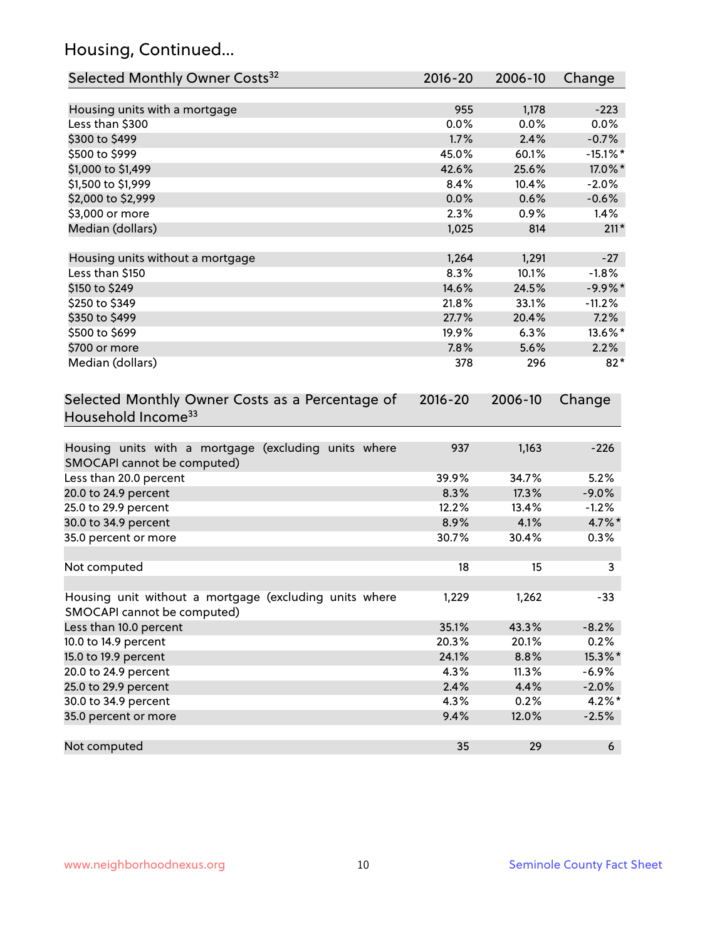# Housing, Continued...

| Selected Monthly Owner Costs <sup>32</sup>                                            | 2016-20     | 2006-10 | Change      |
|---------------------------------------------------------------------------------------|-------------|---------|-------------|
| Housing units with a mortgage                                                         | 955         | 1,178   | $-223$      |
| Less than \$300                                                                       | 0.0%        | 0.0%    | 0.0%        |
| \$300 to \$499                                                                        | 1.7%        | 2.4%    | $-0.7%$     |
| \$500 to \$999                                                                        | 45.0%       | 60.1%   | $-15.1\%$ * |
| \$1,000 to \$1,499                                                                    | 42.6%       | 25.6%   | 17.0%*      |
| \$1,500 to \$1,999                                                                    | 8.4%        | 10.4%   | $-2.0%$     |
| \$2,000 to \$2,999                                                                    | 0.0%        | 0.6%    | $-0.6%$     |
| \$3,000 or more                                                                       | 2.3%        | 0.9%    | 1.4%        |
| Median (dollars)                                                                      | 1,025       | 814     | $211*$      |
| Housing units without a mortgage                                                      | 1,264       | 1,291   | $-27$       |
| Less than \$150                                                                       | 8.3%        | 10.1%   | $-1.8%$     |
| \$150 to \$249                                                                        | 14.6%       | 24.5%   | $-9.9%$ *   |
| \$250 to \$349                                                                        | 21.8%       | 33.1%   | $-11.2%$    |
| \$350 to \$499                                                                        | 27.7%       | 20.4%   | 7.2%        |
| \$500 to \$699                                                                        | 19.9%       | 6.3%    | 13.6%*      |
| \$700 or more                                                                         | 7.8%        | 5.6%    | 2.2%        |
| Median (dollars)                                                                      | 378         | 296     | $82*$       |
| Selected Monthly Owner Costs as a Percentage of<br>Household Income <sup>33</sup>     | $2016 - 20$ | 2006-10 | Change      |
| Housing units with a mortgage (excluding units where<br>SMOCAPI cannot be computed)   | 937         | 1,163   | $-226$      |
| Less than 20.0 percent                                                                | 39.9%       | 34.7%   | 5.2%        |
| 20.0 to 24.9 percent                                                                  | 8.3%        | 17.3%   | $-9.0%$     |
| 25.0 to 29.9 percent                                                                  | 12.2%       | 13.4%   | $-1.2%$     |
| 30.0 to 34.9 percent                                                                  | 8.9%        | 4.1%    | $4.7\%$ *   |
| 35.0 percent or more                                                                  | 30.7%       | 30.4%   | 0.3%        |
| Not computed                                                                          | 18          | 15      | 3           |
| Housing unit without a mortgage (excluding units where<br>SMOCAPI cannot be computed) | 1,229       | 1,262   | $-33$       |
| Less than 10.0 percent                                                                | 35.1%       | 43.3%   | $-8.2%$     |
| 10.0 to 14.9 percent                                                                  | 20.3%       | 20.1%   | 0.2%        |
| 15.0 to 19.9 percent                                                                  | 24.1%       | 8.8%    | 15.3%*      |
| 20.0 to 24.9 percent                                                                  | 4.3%        | 11.3%   | $-6.9%$     |
| 25.0 to 29.9 percent                                                                  | 2.4%        | 4.4%    | $-2.0%$     |
| 30.0 to 34.9 percent                                                                  | 4.3%        | 0.2%    | $4.2\%$ *   |
| 35.0 percent or more                                                                  | 9.4%        | 12.0%   | $-2.5%$     |
| Not computed                                                                          | 35          | 29      | 6           |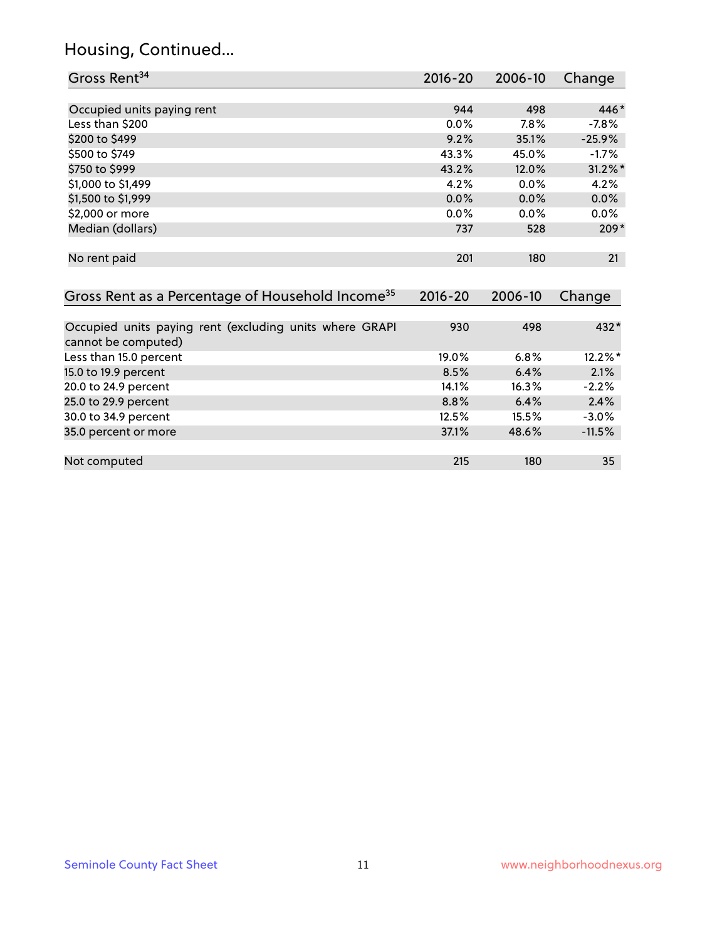# Housing, Continued...

| Gross Rent <sup>34</sup>                                                       | $2016 - 20$ | 2006-10 | Change     |
|--------------------------------------------------------------------------------|-------------|---------|------------|
|                                                                                |             |         |            |
| Occupied units paying rent                                                     | 944         | 498     | 446*       |
| Less than \$200                                                                | 0.0%        | 7.8%    | $-7.8%$    |
| \$200 to \$499                                                                 | 9.2%        | 35.1%   | $-25.9%$   |
| \$500 to \$749                                                                 | 43.3%       | 45.0%   | $-1.7%$    |
| \$750 to \$999                                                                 | 43.2%       | 12.0%   | $31.2\%$ * |
| \$1,000 to \$1,499                                                             | 4.2%        | 0.0%    | 4.2%       |
| \$1,500 to \$1,999                                                             | 0.0%        | 0.0%    | 0.0%       |
| \$2,000 or more                                                                | 0.0%        | 0.0%    | $0.0\%$    |
| Median (dollars)                                                               | 737         | 528     | $209*$     |
| No rent paid                                                                   | 201         | 180     | 21         |
| Gross Rent as a Percentage of Household Income <sup>35</sup>                   | $2016 - 20$ | 2006-10 | Change     |
| Occupied units paying rent (excluding units where GRAPI<br>cannot be computed) | 930         | 498     | 432*       |
| Less than 15.0 percent                                                         | 19.0%       | 6.8%    | 12.2%*     |
| 15.0 to 19.9 percent                                                           | 8.5%        | 6.4%    | 2.1%       |
| 20.0 to 24.9 percent                                                           | 14.1%       | 16.3%   | $-2.2%$    |
| 25.0 to 29.9 percent                                                           | 8.8%        | 6.4%    | 2.4%       |
| 30.0 to 34.9 percent                                                           | 12.5%       | 15.5%   | $-3.0%$    |
| 35.0 percent or more                                                           | 37.1%       | 48.6%   | $-11.5%$   |
| Not computed                                                                   | 215         | 180     | 35         |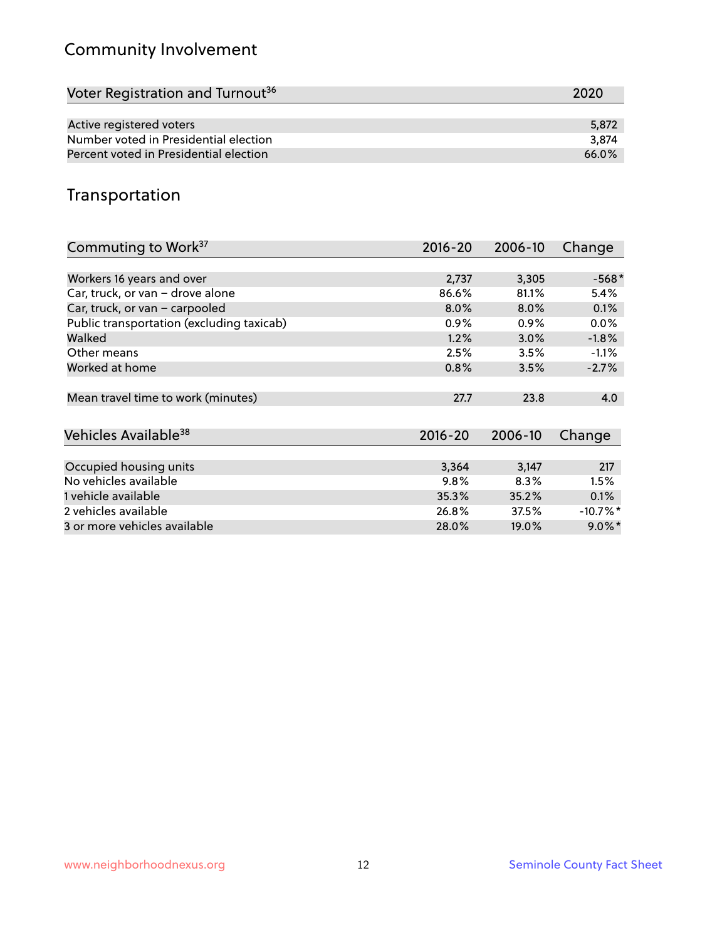# Community Involvement

| Voter Registration and Turnout <sup>36</sup> | 2020  |
|----------------------------------------------|-------|
|                                              |       |
| Active registered voters                     | 5,872 |
| Number voted in Presidential election        | 3.874 |
| Percent voted in Presidential election       | 66.0% |

## Transportation

| Commuting to Work <sup>37</sup>           | $2016 - 20$ | 2006-10 | Change               |
|-------------------------------------------|-------------|---------|----------------------|
|                                           |             |         |                      |
| Workers 16 years and over                 | 2,737       | 3,305   | $-568*$              |
| Car, truck, or van - drove alone          | 86.6%       | 81.1%   | 5.4%                 |
| Car, truck, or van - carpooled            | 8.0%        | 8.0%    | 0.1%                 |
| Public transportation (excluding taxicab) | $0.9\%$     | $0.9\%$ | $0.0\%$              |
| Walked                                    | 1.2%        | $3.0\%$ | $-1.8%$              |
| Other means                               | 2.5%        | 3.5%    | $-1.1%$              |
| Worked at home                            | 0.8%        | 3.5%    | $-2.7%$              |
|                                           |             |         |                      |
| Mean travel time to work (minutes)        | 27.7        | 23.8    | 4.0                  |
|                                           |             |         |                      |
| Vehicles Available <sup>38</sup>          | $2016 - 20$ | 2006-10 | Change               |
|                                           |             |         |                      |
| Occupied housing units                    | 3,364       | 3,147   | 217                  |
| No vehicles available                     | 9.8%        | 8.3%    | 1.5%                 |
| 1 vehicle available                       | 35.3%       | 35.2%   | 0.1%                 |
| 2 vehicles available                      | 26.8%       | 37.5%   | -10.7%*              |
| 3 or more vehicles available              | 28.0%       | 19.0%   | $9.0\%$ <sup>*</sup> |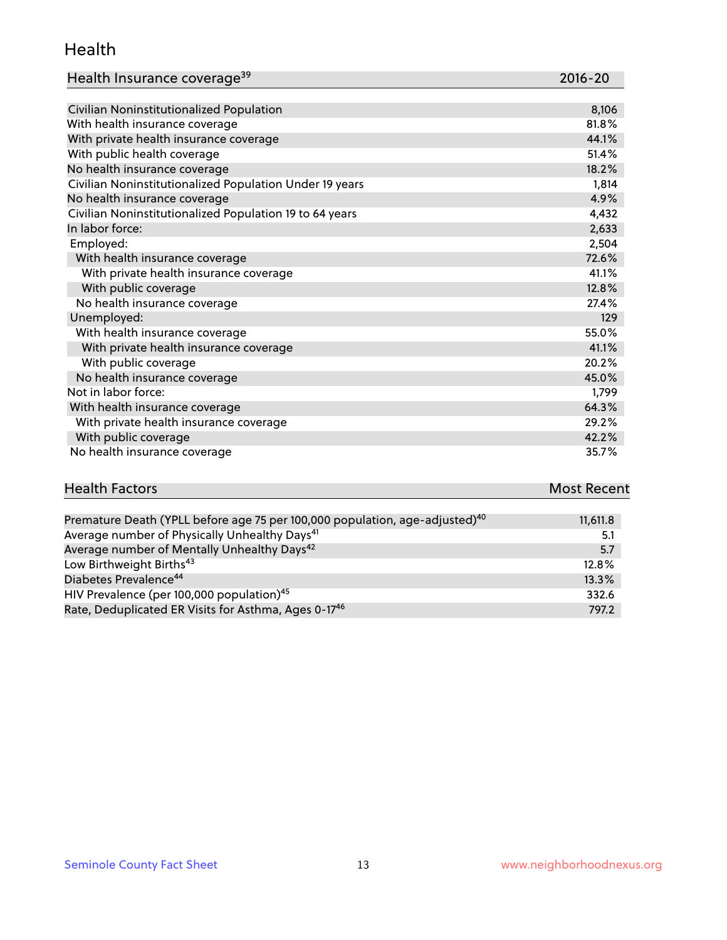#### Health

| Health Insurance coverage <sup>39</sup> | 2016-20 |
|-----------------------------------------|---------|
|-----------------------------------------|---------|

| Civilian Noninstitutionalized Population                | 8,106 |
|---------------------------------------------------------|-------|
| With health insurance coverage                          | 81.8% |
| With private health insurance coverage                  | 44.1% |
| With public health coverage                             | 51.4% |
| No health insurance coverage                            | 18.2% |
| Civilian Noninstitutionalized Population Under 19 years | 1,814 |
| No health insurance coverage                            | 4.9%  |
| Civilian Noninstitutionalized Population 19 to 64 years | 4,432 |
| In labor force:                                         | 2,633 |
| Employed:                                               | 2,504 |
| With health insurance coverage                          | 72.6% |
| With private health insurance coverage                  | 41.1% |
| With public coverage                                    | 12.8% |
| No health insurance coverage                            | 27.4% |
| Unemployed:                                             | 129   |
| With health insurance coverage                          | 55.0% |
| With private health insurance coverage                  | 41.1% |
| With public coverage                                    | 20.2% |
| No health insurance coverage                            | 45.0% |
| Not in labor force:                                     | 1,799 |
| With health insurance coverage                          | 64.3% |
| With private health insurance coverage                  | 29.2% |
| With public coverage                                    | 42.2% |
| No health insurance coverage                            | 35.7% |

| <b>Health Factors</b>                                                                   | <b>Most Recent</b> |
|-----------------------------------------------------------------------------------------|--------------------|
|                                                                                         |                    |
| Premature Death (YPLL before age 75 per 100,000 population, age-adjusted) <sup>40</sup> | 11,611.8           |
| Average number of Physically Unhealthy Days <sup>41</sup>                               | -51                |

| Average number of Mentally Unhealthy Days <sup>42</sup>          | 5.7      |
|------------------------------------------------------------------|----------|
| Low Birthweight Births <sup>43</sup>                             | $12.8\%$ |
| Diabetes Prevalence <sup>44</sup>                                | $13.3\%$ |
| HIV Prevalence (per 100,000 population) <sup>45</sup>            | 332.6    |
| Rate, Deduplicated ER Visits for Asthma, Ages 0-17 <sup>46</sup> | 797.2    |